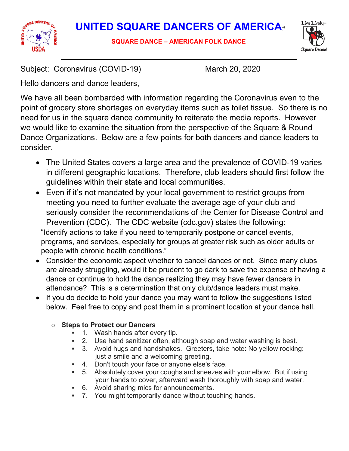

**SQUARE DANCE – AMERICAN FOLK DANCE** 



Subject: Coronavirus (COVID-19) March 20, 2020

Hello dancers and dance leaders,

We have all been bombarded with information regarding the Coronavirus even to the point of grocery store shortages on everyday items such as toilet tissue. So there is no need for us in the square dance community to reiterate the media reports. However we would like to examine the situation from the perspective of the Square & Round Dance Organizations. Below are a few points for both dancers and dance leaders to consider.

- The United States covers a large area and the prevalence of COVID-19 varies in different geographic locations. Therefore, club leaders should first follow the guidelines within their state and local communities.
- Even if it's not mandated by your local government to restrict groups from meeting you need to further evaluate the average age of your club and seriously consider the recommendations of the Center for Disease Control and Prevention (CDC). The CDC website (cdc.gov) states the following: "Identify actions to take if you need to temporarily postpone or cancel events, programs, and services, especially for groups at greater risk such as older adults or people with chronic health conditions."
- Consider the economic aspect whether to cancel dances or not. Since many clubs are already struggling, would it be prudent to go dark to save the expense of having a dance or continue to hold the dance realizing they may have fewer dancers in attendance? This is a determination that only club/dance leaders must make.
- If you do decide to hold your dance you may want to follow the suggestions listed below. Feel free to copy and post them in a prominent location at your dance hall.

## o **Steps to Protect our Dancers**

- 1. Wash hands after every tip.
- 2. Use hand sanitizer often, although soap and water washing is best.
- 3. Avoid hugs and handshakes. Greeters, take note: No yellow rocking: just a smile and a welcoming greeting.
- 4. Don't touch your face or anyone else's face.
- 5. Absolutely cover your coughs and sneezes with your elbow. But if using your hands to cover, afterward wash thoroughly with soap and water.
- 6. Avoid sharing mics for announcements.
- 7. You might temporarily dance without touching hands.